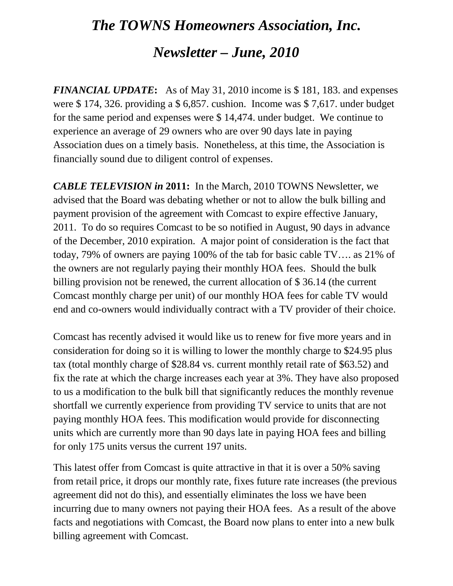# *The TOWNS Homeowners Association, Inc. Newsletter – June, 2010*

*FINANCIAL UPDATE***:** As of May 31, 2010 income is \$ 181, 183. and expenses were \$ 174, 326. providing a \$ 6,857. cushion. Income was \$ 7,617. under budget for the same period and expenses were \$ 14,474. under budget. We continue to experience an average of 29 owners who are over 90 days late in paying Association dues on a timely basis. Nonetheless, at this time, the Association is financially sound due to diligent control of expenses.

*CABLE TELEVISION in* **2011:** In the March, 2010 TOWNS Newsletter, we advised that the Board was debating whether or not to allow the bulk billing and payment provision of the agreement with Comcast to expire effective January, 2011. To do so requires Comcast to be so notified in August, 90 days in advance of the December, 2010 expiration. A major point of consideration is the fact that today, 79% of owners are paying 100% of the tab for basic cable TV…. as 21% of the owners are not regularly paying their monthly HOA fees. Should the bulk billing provision not be renewed, the current allocation of \$ 36.14 (the current Comcast monthly charge per unit) of our monthly HOA fees for cable TV would end and co-owners would individually contract with a TV provider of their choice.

Comcast has recently advised it would like us to renew for five more years and in consideration for doing so it is willing to lower the monthly charge to \$24.95 plus tax (total monthly charge of \$28.84 vs. current monthly retail rate of \$63.52) and fix the rate at which the charge increases each year at 3%. They have also proposed to us a modification to the bulk bill that significantly reduces the monthly revenue shortfall we currently experience from providing TV service to units that are not paying monthly HOA fees. This modification would provide for disconnecting units which are currently more than 90 days late in paying HOA fees and billing for only 175 units versus the current 197 units.

This latest offer from Comcast is quite attractive in that it is over a 50% saving from retail price, it drops our monthly rate, fixes future rate increases (the previous agreement did not do this), and essentially eliminates the loss we have been incurring due to many owners not paying their HOA fees. As a result of the above facts and negotiations with Comcast, the Board now plans to enter into a new bulk billing agreement with Comcast.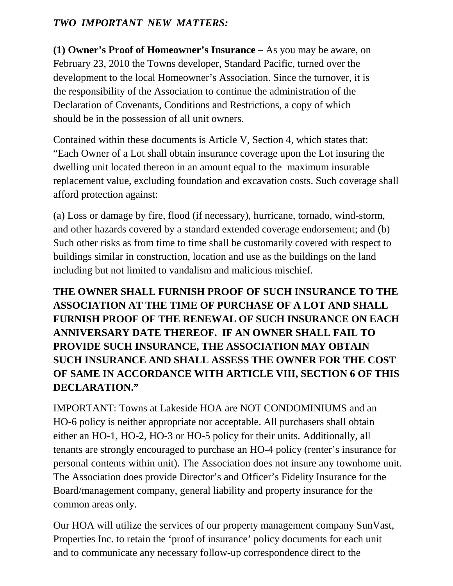#### *TWO IMPORTANT NEW MATTERS:*

**(1) Owner's Proof of Homeowner's Insurance –** As you may be aware, on February 23, 2010 the Towns developer, Standard Pacific, turned over the development to the local Homeowner's Association. Since the turnover, it is the responsibility of the Association to continue the administration of the Declaration of Covenants, Conditions and Restrictions, a copy of which should be in the possession of all unit owners.

Contained within these documents is Article V, Section 4, which states that: "Each Owner of a Lot shall obtain insurance coverage upon the Lot insuring the dwelling unit located thereon in an amount equal to the maximum insurable replacement value, excluding foundation and excavation costs. Such coverage shall afford protection against:

(a) Loss or damage by fire, flood (if necessary), hurricane, tornado, wind-storm, and other hazards covered by a standard extended coverage endorsement; and (b) Such other risks as from time to time shall be customarily covered with respect to buildings similar in construction, location and use as the buildings on the land including but not limited to vandalism and malicious mischief.

## **THE OWNER SHALL FURNISH PROOF OF SUCH INSURANCE TO THE ASSOCIATION AT THE TIME OF PURCHASE OF A LOT AND SHALL FURNISH PROOF OF THE RENEWAL OF SUCH INSURANCE ON EACH ANNIVERSARY DATE THEREOF. IF AN OWNER SHALL FAIL TO PROVIDE SUCH INSURANCE, THE ASSOCIATION MAY OBTAIN SUCH INSURANCE AND SHALL ASSESS THE OWNER FOR THE COST OF SAME IN ACCORDANCE WITH ARTICLE VIII, SECTION 6 OF THIS DECLARATION."**

IMPORTANT: Towns at Lakeside HOA are NOT CONDOMINIUMS and an HO-6 policy is neither appropriate nor acceptable. All purchasers shall obtain either an HO-1, HO-2, HO-3 or HO-5 policy for their units. Additionally, all tenants are strongly encouraged to purchase an HO-4 policy (renter's insurance for personal contents within unit). The Association does not insure any townhome unit. The Association does provide Director's and Officer's Fidelity Insurance for the Board/management company, general liability and property insurance for the common areas only.

Our HOA will utilize the services of our property management company SunVast, Properties Inc. to retain the 'proof of insurance' policy documents for each unit and to communicate any necessary follow-up correspondence direct to the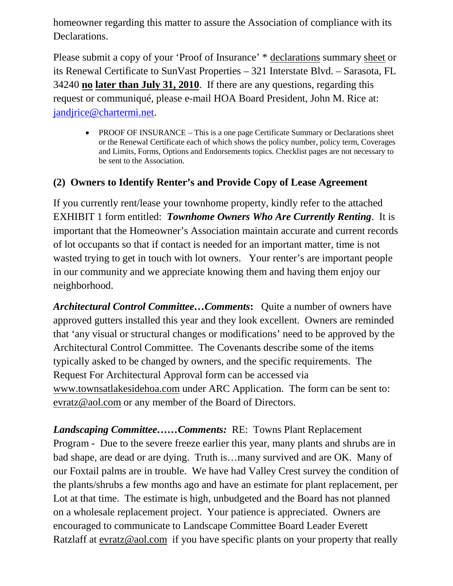homeowner regarding this matter to assure the Association of compliance with its Declarations.

Please submit a copy of your 'Proof of Insurance' \* declarations summary sheet or its Renewal Certificate to SunVast Properties – 321 Interstate Blvd. – Sarasota, FL 34240 **no later than July 31, 2010**. If there are any questions, regarding this request or communiqué, please e-mail HOA Board President, John M. Rice at: [jandjrice@chartermi.net.](mailto:jandjrice@chartermi.net)

• PROOF OF INSURANCE – This is a one page Certificate Summary or Declarations sheet or the Renewal Certificate each of which shows the policy number, policy term, Coverages and Limits, Forms, Options and Endorsements topics. Checklist pages are not necessary to be sent to the Association.

#### **(2) Owners to Identify Renter's and Provide Copy of Lease Agreement**

If you currently rent/lease your townhome property, kindly refer to the attached EXHIBIT 1 form entitled: *Townhome Owners Who Are Currently Renting*. It is important that the Homeowner's Association maintain accurate and current records of lot occupants so that if contact is needed for an important matter, time is not wasted trying to get in touch with lot owners. Your renter's are important people in our community and we appreciate knowing them and having them enjoy our neighborhood.

*Architectural Control Committee…Comments***:** Quite a number of owners have approved gutters installed this year and they look excellent. Owners are reminded that 'any visual or structural changes or modifications' need to be approved by the Architectural Control Committee. The Covenants describe some of the items typically asked to be changed by owners, and the specific requirements. The Request For Architectural Approval form can be accessed via [www.townsatlakesidehoa.com](http://www.townsatlakesidehoa.com/) under ARC Application. The form can be sent to: [evratz@aol.com](mailto:evratz@aol.com) or any member of the Board of Directors.

*Landscaping Committee……Comments:* RE: Towns Plant Replacement Program - Due to the severe freeze earlier this year, many plants and shrubs are in bad shape, are dead or are dying. Truth is…many survived and are OK. Many of our Foxtail palms are in trouble. We have had Valley Crest survey the condition of the plants/shrubs a few months ago and have an estimate for plant replacement, per Lot at that time. The estimate is high, unbudgeted and the Board has not planned on a wholesale replacement project. Your patience is appreciated. Owners are encouraged to communicate to Landscape Committee Board Leader Everett Ratzlaff at [evratz@aol.com](mailto:evratz@aol.com) if you have specific plants on your property that really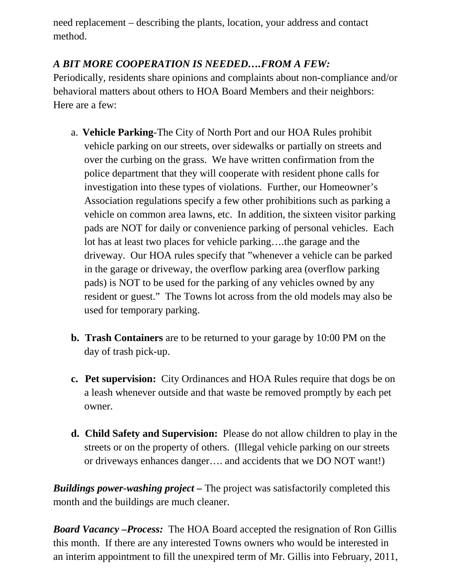need replacement – describing the plants, location, your address and contact method.

## *A BIT MORE COOPERATION IS NEEDED….FROM A FEW:*

Periodically, residents share opinions and complaints about non-compliance and/or behavioral matters about others to HOA Board Members and their neighbors: Here are a few:

- a. **Vehicle Parking**-The City of North Port and our HOA Rules prohibit vehicle parking on our streets, over sidewalks or partially on streets and over the curbing on the grass. We have written confirmation from the police department that they will cooperate with resident phone calls for investigation into these types of violations. Further, our Homeowner's Association regulations specify a few other prohibitions such as parking a vehicle on common area lawns, etc. In addition, the sixteen visitor parking pads are NOT for daily or convenience parking of personal vehicles. Each lot has at least two places for vehicle parking….the garage and the driveway. Our HOA rules specify that "whenever a vehicle can be parked in the garage or driveway, the overflow parking area (overflow parking pads) is NOT to be used for the parking of any vehicles owned by any resident or guest." The Towns lot across from the old models may also be used for temporary parking.
- **b. Trash Containers** are to be returned to your garage by 10:00 PM on the day of trash pick-up.
- **c. Pet supervision:** City Ordinances and HOA Rules require that dogs be on a leash whenever outside and that waste be removed promptly by each pet owner.
- **d. Child Safety and Supervision:** Please do not allow children to play in the streets or on the property of others. (Illegal vehicle parking on our streets or driveways enhances danger…. and accidents that we DO NOT want!)

*Buildings power-washing project –* The project was satisfactorily completed this month and the buildings are much cleaner.

*Board Vacancy –Process:* The HOA Board accepted the resignation of Ron Gillis this month. If there are any interested Towns owners who would be interested in an interim appointment to fill the unexpired term of Mr. Gillis into February, 2011,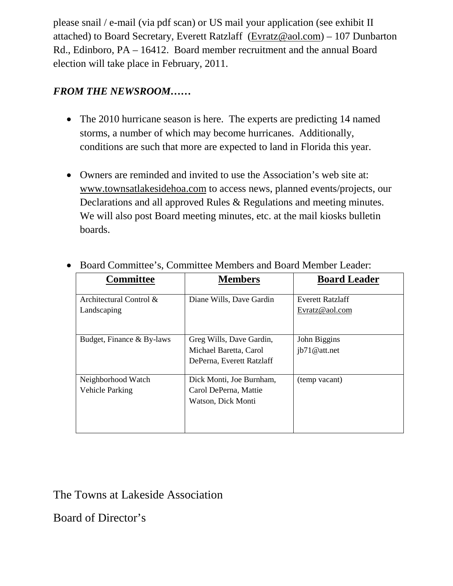please snail / e-mail (via pdf scan) or US mail your application (see exhibit II attached) to Board Secretary, Everett Ratzlaff [\(Evratz@aol.com\)](mailto:Evratz@aol.com) – 107 Dunbarton Rd., Edinboro, PA – 16412. Board member recruitment and the annual Board election will take place in February, 2011.

### *FROM THE NEWSROOM……*

- The 2010 hurricane season is here. The experts are predicting 14 named storms, a number of which may become hurricanes. Additionally, conditions are such that more are expected to land in Florida this year.
- Owners are reminded and invited to use the Association's web site at: [www.townsatlakesidehoa.com](http://www.townsatlakesidehoa.com/) to access news, planned events/projects, our Declarations and all approved Rules & Regulations and meeting minutes. We will also post Board meeting minutes, etc. at the mail kiosks bulletin boards.

| <b>Committee</b>          | <b>Members</b>            | <b>Board Leader</b>     |
|---------------------------|---------------------------|-------------------------|
| Architectural Control &   | Diane Wills, Dave Gardin  | <b>Everett Ratzlaff</b> |
| Landscaping               |                           | Evratz@aol.com          |
| Budget, Finance & By-laws | Greg Wills, Dave Gardin,  | John Biggins            |
|                           | Michael Baretta, Carol    | ib71@att.net            |
|                           | DePerna, Everett Ratzlaff |                         |
| Neighborhood Watch        | Dick Monti, Joe Burnham,  | (temp vacant)           |
| Vehicle Parking           | Carol DePerna, Mattie     |                         |
|                           | Watson, Dick Monti        |                         |

• Board Committee's, Committee Members and Board Member Leader:

# The Towns at Lakeside Association

Board of Director's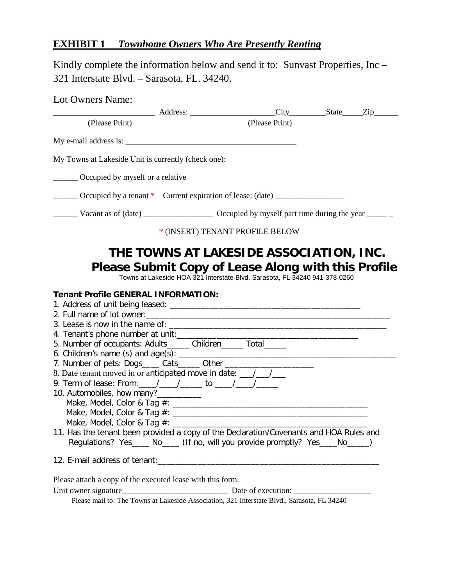## **EXHIBIT 1** *Townhome Owners Who Are Presently Renting*

Kindly complete the information below and send it to: Sunvast Properties, Inc – 321 Interstate Blvd. – Sarasota, FL. 34240.

| Lot Owners Name:                                                                                     |                                                                                                                                                                                     |  |
|------------------------------------------------------------------------------------------------------|-------------------------------------------------------------------------------------------------------------------------------------------------------------------------------------|--|
|                                                                                                      | Address: City State Zip                                                                                                                                                             |  |
| (Please Print)                                                                                       | (Please Print)                                                                                                                                                                      |  |
| My e-mail address is:                                                                                |                                                                                                                                                                                     |  |
| My Towns at Lakeside Unit is currently (check one):                                                  |                                                                                                                                                                                     |  |
| <b>Commonly Conserved</b> by myself or a relative                                                    |                                                                                                                                                                                     |  |
|                                                                                                      | Occupied by a tenant * Current expiration of lease: (date) ______________________                                                                                                   |  |
| Vacant as of (date) Cocupied by myself part time during the year _______                             |                                                                                                                                                                                     |  |
|                                                                                                      | * (INSERT) TENANT PROFILE BELOW                                                                                                                                                     |  |
| <b>Tenant Profile GENERAL INFORMATION:</b>                                                           | THE TOWNS AT LAKESIDE ASSOCIATION, INC.<br><b>Please Submit Copy of Lease Along with this Profile</b><br>Towns at Lakeside HOA 321 Interstate Blvd. Sarasota, FL 34240 941-378-0260 |  |
|                                                                                                      |                                                                                                                                                                                     |  |
|                                                                                                      |                                                                                                                                                                                     |  |
|                                                                                                      |                                                                                                                                                                                     |  |
| 4. Tenant's phone number at unit:<br>5. Number of occupants: Adults______ Children______ Total______ |                                                                                                                                                                                     |  |
|                                                                                                      |                                                                                                                                                                                     |  |
| 8. Date tenant moved in or anticipated move in date: ____________________________                    |                                                                                                                                                                                     |  |
| 9. Term of lease: From: / / / / to / / / /                                                           |                                                                                                                                                                                     |  |
| 10. Automobiles, how many?___________                                                                |                                                                                                                                                                                     |  |
|                                                                                                      |                                                                                                                                                                                     |  |
|                                                                                                      |                                                                                                                                                                                     |  |
|                                                                                                      |                                                                                                                                                                                     |  |
|                                                                                                      | 11. Has the tenant been provided a copy of the Declaration/Covenants and HOA Rules and<br>Regulations? Yes____ No____ (If no, will you provide promptly? Yes____No____)             |  |
|                                                                                                      |                                                                                                                                                                                     |  |
| Please attach a copy of the executed lease with this form.                                           |                                                                                                                                                                                     |  |
|                                                                                                      |                                                                                                                                                                                     |  |
|                                                                                                      | Please mail to: The Towns at Lakeside Association, 321 Interstate Blvd., Sarasota, FL 34240                                                                                         |  |